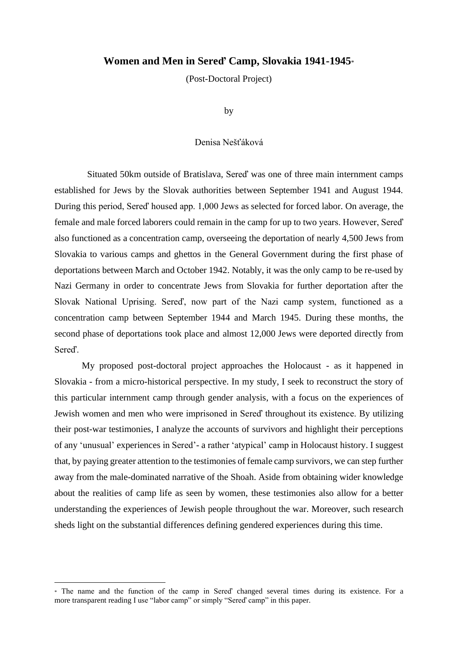## **Women and Men in Sereď Camp, Slovakia 1941-1945**\*

(Post-Doctoral Project)

by

#### Denisa Nešťáková

Situated 50km outside of Bratislava, Sereď was one of three main internment camps established for Jews by the Slovak authorities between September 1941 and August 1944. During this period, Sereď housed app. 1,000 Jews as selected for forced labor. On average, the female and male forced laborers could remain in the camp for up to two years. However, Sereď also functioned as a concentration camp, overseeing the deportation of nearly 4,500 Jews from Slovakia to various camps and ghettos in the General Government during the first phase of deportations between March and October 1942. Notably, it was the only camp to be re-used by Nazi Germany in order to concentrate Jews from Slovakia for further deportation after the Slovak National Uprising. Sereď, now part of the Nazi camp system, functioned as a concentration camp between September 1944 and March 1945. During these months, the second phase of deportations took place and almost 12,000 Jews were deported directly from Sereď.

My proposed post-doctoral project approaches the Holocaust - as it happened in Slovakia - from a micro-historical perspective. In my study, I seek to reconstruct the story of this particular internment camp through gender analysis, with a focus on the experiences of Jewish women and men who were imprisoned in Sereď throughout its existence. By utilizing their post-war testimonies, I analyze the accounts of survivors and highlight their perceptions of any 'unusual' experiences in Sered'- a rather 'atypical' camp in Holocaust history. I suggest that, by paying greater attention to the testimonies of female camp survivors, we can step further away from the male-dominated narrative of the Shoah. Aside from obtaining wider knowledge about the realities of camp life as seen by women, these testimonies also allow for a better understanding the experiences of Jewish people throughout the war. Moreover, such research sheds light on the substantial differences defining gendered experiences during this time.

<sup>\*</sup> The name and the function of the camp in Sereď changed several times during its existence. For a more transparent reading I use "labor camp" or simply "Sereď camp" in this paper.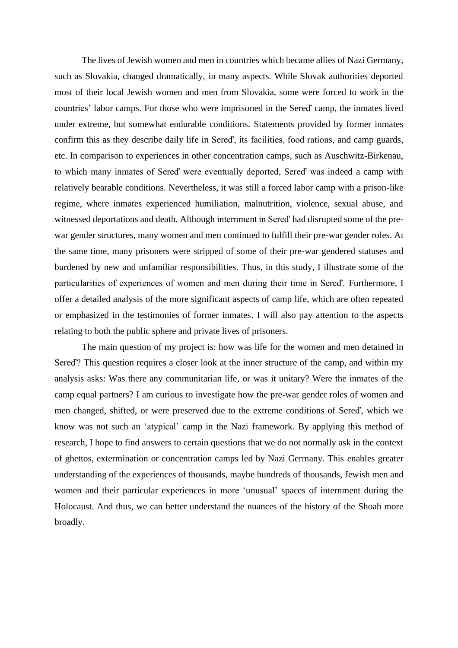The lives of Jewish women and men in countries which became allies of Nazi Germany, such as Slovakia, changed dramatically, in many aspects. While Slovak authorities deported most of their local Jewish women and men from Slovakia, some were forced to work in the countries' labor camps. For those who were imprisoned in the Sereď camp, the inmates lived under extreme, but somewhat endurable conditions. Statements provided by former inmates confirm this as they describe daily life in Sereď, its facilities, food rations, and camp guards, etc. In comparison to experiences in other concentration camps, such as Auschwitz-Birkenau, to which many inmates of Sereď were eventually deported, Sereď was indeed a camp with relatively bearable conditions. Nevertheless, it was still a forced labor camp with a prison-like regime, where inmates experienced humiliation, malnutrition, violence, sexual abuse, and witnessed deportations and death. Although internment in Sereď had disrupted some of the prewar gender structures, many women and men continued to fulfill their pre-war gender roles. At the same time, many prisoners were stripped of some of their pre-war gendered statuses and burdened by new and unfamiliar responsibilities. Thus, in this study, I illustrate some of the particularities of experiences of women and men during their time in Sereď. Furthermore, I offer a detailed analysis of the more significant aspects of camp life, which are often repeated or emphasized in the testimonies of former inmates. I will also pay attention to the aspects relating to both the public sphere and private lives of prisoners.

The main question of my project is: how was life for the women and men detained in Sereď? This question requires a closer look at the inner structure of the camp, and within my analysis asks: Was there any communitarian life, or was it unitary? Were the inmates of the camp equal partners? I am curious to investigate how the pre-war gender roles of women and men changed, shifted, or were preserved due to the extreme conditions of Sereď, which we know was not such an 'atypical' camp in the Nazi framework. By applying this method of research, I hope to find answers to certain questions that we do not normally ask in the context of ghettos, extermination or concentration camps led by Nazi Germany. This enables greater understanding of the experiences of thousands, maybe hundreds of thousands, Jewish men and women and their particular experiences in more 'unusual' spaces of internment during the Holocaust. And thus, we can better understand the nuances of the history of the Shoah more broadly.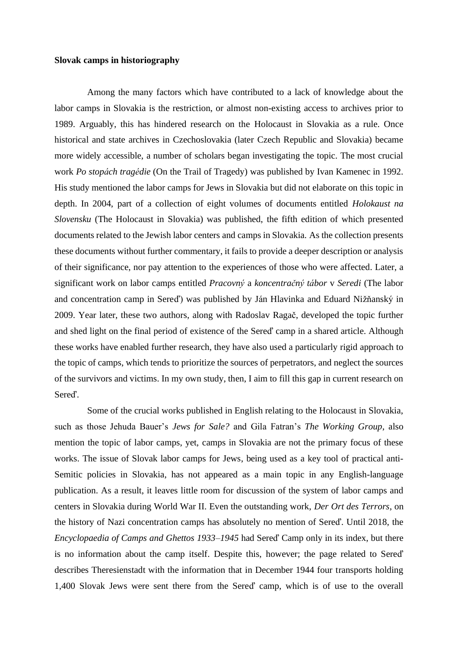## **Slovak camps in historiography**

Among the many factors which have contributed to a lack of knowledge about the labor camps in Slovakia is the restriction, or almost non-existing access to archives prior to 1989. Arguably, this has hindered research on the Holocaust in Slovakia as a rule. Once historical and state archives in Czechoslovakia (later Czech Republic and Slovakia) became more widely accessible, a number of scholars began investigating the topic. The most crucial work *Po stopách tragédie* (On the Trail of Tragedy) was published by Ivan Kamenec in 1992. His study mentioned the labor camps for Jews in Slovakia but did not elaborate on this topic in depth. In 2004, part of a collection of eight volumes of documents entitled *Holokaust na Slovensku* (The Holocaust in Slovakia) was published, the fifth edition of which presented documents related to the Jewish labor centers and camps in Slovakia. As the collection presents these documents without further commentary, it fails to provide a deeper description or analysis of their significance, nor pay attention to the experiences of those who were affected. Later, a significant work on labor camps entitled *Pracovný* a *koncentračný tábor* v *Seredi* (The labor and concentration camp in Sereď) was published by Ján Hlavinka and Eduard Nižňanský in 2009. Year later, these two authors, along with Radoslav Ragač, developed the topic further and shed light on the final period of existence of the Sereď camp in a shared article. Although these works have enabled further research, they have also used a particularly rigid approach to the topic of camps, which tends to prioritize the sources of perpetrators, and neglect the sources of the survivors and victims. In my own study, then, I aim to fill this gap in current research on Sereď.

Some of the crucial works published in English relating to the Holocaust in Slovakia, such as those Jehuda Bauer's *Jews for Sale?* and Gila Fatran's *The Working Group*, also mention the topic of labor camps, yet, camps in Slovakia are not the primary focus of these works. The issue of Slovak labor camps for Jews, being used as a key tool of practical anti-Semitic policies in Slovakia, has not appeared as a main topic in any English-language publication. As a result, it leaves little room for discussion of the system of labor camps and centers in Slovakia during World War II. Even the outstanding work, *Der Ort des Terrors*, on the history of Nazi concentration camps has absolutely no mention of Sereď. Until 2018, the *Encyclopaedia of Camps and Ghettos 1933–1945* had Sereď Camp only in its index, but there is no information about the camp itself. Despite this, however; the page related to Sereď describes Theresienstadt with the information that in December 1944 four transports holding 1,400 Slovak Jews were sent there from the Sereď camp, which is of use to the overall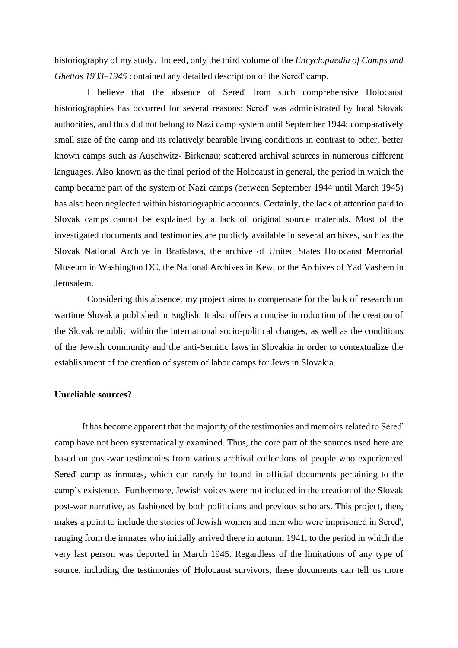historiography of my study. Indeed, only the third volume of the *Encyclopaedia of Camps and Ghettos 1933–1945* contained any detailed description of the Sereď camp.

I believe that the absence of Sereď from such comprehensive Holocaust historiographies has occurred for several reasons: Sereď was administrated by local Slovak authorities, and thus did not belong to Nazi camp system until September 1944; comparatively small size of the camp and its relatively bearable living conditions in contrast to other, better known camps such as Auschwitz- Birkenau; scattered archival sources in numerous different languages. Also known as the final period of the Holocaust in general, the period in which the camp became part of the system of Nazi camps (between September 1944 until March 1945) has also been neglected within historiographic accounts. Certainly, the lack of attention paid to Slovak camps cannot be explained by a lack of original source materials. Most of the investigated documents and testimonies are publicly available in several archives, such as the Slovak National Archive in Bratislava, the archive of United States Holocaust Memorial Museum in Washington DC, the National Archives in Kew, or the Archives of Yad Vashem in Jerusalem.

Considering this absence, my project aims to compensate for the lack of research on wartime Slovakia published in English. It also offers a concise introduction of the creation of the Slovak republic within the international socio-political changes, as well as the conditions of the Jewish community and the anti-Semitic laws in Slovakia in order to contextualize the establishment of the creation of system of labor camps for Jews in Slovakia.

# **Unreliable sources?**

It has become apparent that the majority of the testimonies and memoirs related to Sereď camp have not been systematically examined. Thus, the core part of the sources used here are based on post-war testimonies from various archival collections of people who experienced Sereď camp as inmates, which can rarely be found in official documents pertaining to the camp's existence. Furthermore, Jewish voices were not included in the creation of the Slovak post-war narrative, as fashioned by both politicians and previous scholars. This project, then, makes a point to include the stories of Jewish women and men who were imprisoned in Sereď, ranging from the inmates who initially arrived there in autumn 1941, to the period in which the very last person was deported in March 1945. Regardless of the limitations of any type of source, including the testimonies of Holocaust survivors, these documents can tell us more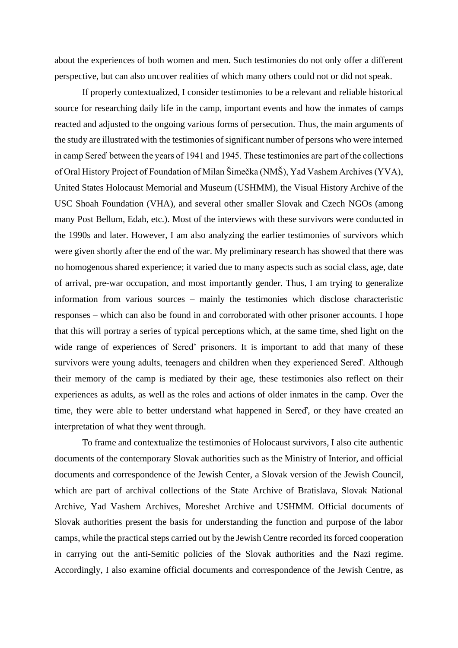about the experiences of both women and men. Such testimonies do not only offer a different perspective, but can also uncover realities of which many others could not or did not speak.

If properly contextualized, I consider testimonies to be a relevant and reliable historical source for researching daily life in the camp, important events and how the inmates of camps reacted and adjusted to the ongoing various forms of persecution. Thus, the main arguments of the study are illustrated with the testimonies of significant number of persons who were interned in camp Sereď between the years of 1941 and 1945. These testimonies are part of the collections of Oral History Project of Foundation of Milan Šimečka (NMŠ), Yad Vashem Archives (YVA), United States Holocaust Memorial and Museum (USHMM), the Visual History Archive of the USC Shoah Foundation (VHA), and several other smaller Slovak and Czech NGOs (among many Post Bellum, Edah, etc.). Most of the interviews with these survivors were conducted in the 1990s and later. However, I am also analyzing the earlier testimonies of survivors which were given shortly after the end of the war. My preliminary research has showed that there was no homogenous shared experience; it varied due to many aspects such as social class, age, date of arrival, pre-war occupation, and most importantly gender. Thus, I am trying to generalize information from various sources – mainly the testimonies which disclose characteristic responses – which can also be found in and corroborated with other prisoner accounts. I hope that this will portray a series of typical perceptions which, at the same time, shed light on the wide range of experiences of Sered' prisoners. It is important to add that many of these survivors were young adults, teenagers and children when they experienced Sereď. Although their memory of the camp is mediated by their age, these testimonies also reflect on their experiences as adults, as well as the roles and actions of older inmates in the camp. Over the time, they were able to better understand what happened in Sereď, or they have created an interpretation of what they went through.

To frame and contextualize the testimonies of Holocaust survivors, I also cite authentic documents of the contemporary Slovak authorities such as the Ministry of Interior, and official documents and correspondence of the Jewish Center, a Slovak version of the Jewish Council, which are part of archival collections of the State Archive of Bratislava, Slovak National Archive, Yad Vashem Archives, Moreshet Archive and USHMM. Official documents of Slovak authorities present the basis for understanding the function and purpose of the labor camps, while the practical steps carried out by the Jewish Centre recorded its forced cooperation in carrying out the anti-Semitic policies of the Slovak authorities and the Nazi regime. Accordingly, I also examine official documents and correspondence of the Jewish Centre, as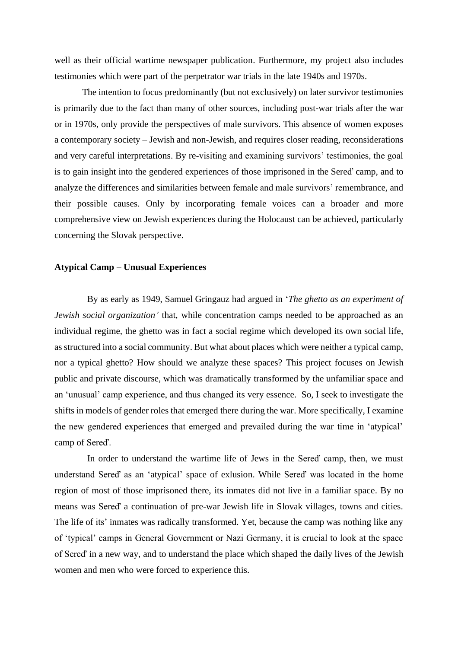well as their official wartime newspaper publication. Furthermore, my project also includes testimonies which were part of the perpetrator war trials in the late 1940s and 1970s.

The intention to focus predominantly (but not exclusively) on later survivor testimonies is primarily due to the fact than many of other sources, including post-war trials after the war or in 1970s, only provide the perspectives of male survivors. This absence of women exposes a contemporary society – Jewish and non-Jewish, and requires closer reading, reconsiderations and very careful interpretations. By re-visiting and examining survivors' testimonies, the goal is to gain insight into the gendered experiences of those imprisoned in the Sereď camp, and to analyze the differences and similarities between female and male survivors' remembrance, and their possible causes. Only by incorporating female voices can a broader and more comprehensive view on Jewish experiences during the Holocaust can be achieved, particularly concerning the Slovak perspective.

### **Atypical Camp – Unusual Experiences**

By as early as 1949, Samuel Gringauz had argued in '*The ghetto as an experiment of Jewish social organization'* that, while concentration camps needed to be approached as an individual regime, the ghetto was in fact a social regime which developed its own social life, as structured into a social community. But what about places which were neither a typical camp, nor a typical ghetto? How should we analyze these spaces? This project focuses on Jewish public and private discourse, which was dramatically transformed by the unfamiliar space and an 'unusual' camp experience, and thus changed its very essence. So, I seek to investigate the shifts in models of gender roles that emerged there during the war. More specifically, I examine the new gendered experiences that emerged and prevailed during the war time in 'atypical' camp of Sereď.

In order to understand the wartime life of Jews in the Sereď camp, then, we must understand Sereď as an 'atypical' space of exlusion. While Sereď was located in the home region of most of those imprisoned there, its inmates did not live in a familiar space. By no means was Sereď a continuation of pre-war Jewish life in Slovak villages, towns and cities. The life of its' inmates was radically transformed. Yet, because the camp was nothing like any of 'typical' camps in General Government or Nazi Germany, it is crucial to look at the space of Sereď in a new way, and to understand the place which shaped the daily lives of the Jewish women and men who were forced to experience this.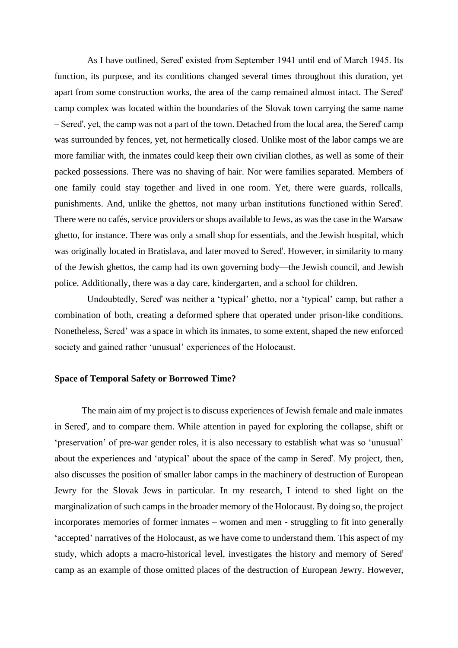As I have outlined, Sereď existed from September 1941 until end of March 1945. Its function, its purpose, and its conditions changed several times throughout this duration, yet apart from some construction works, the area of the camp remained almost intact. The Sereď camp complex was located within the boundaries of the Slovak town carrying the same name – Sereď, yet, the camp was not a part of the town. Detached from the local area, the Sereď camp was surrounded by fences, yet, not hermetically closed. Unlike most of the labor camps we are more familiar with, the inmates could keep their own civilian clothes, as well as some of their packed possessions. There was no shaving of hair. Nor were families separated. Members of one family could stay together and lived in one room. Yet, there were guards, rollcalls, punishments. And, unlike the ghettos, not many urban institutions functioned within Sereď. There were no cafés, service providers or shops available to Jews, as was the case in the Warsaw ghetto, for instance. There was only a small shop for essentials, and the Jewish hospital, which was originally located in Bratislava, and later moved to Sereď. However, in similarity to many of the Jewish ghettos, the camp had its own governing body—the Jewish council, and Jewish police. Additionally, there was a day care, kindergarten, and a school for children.

Undoubtedly, Sereď was neither a 'typical' ghetto, nor a 'typical' camp, but rather a combination of both, creating a deformed sphere that operated under prison-like conditions. Nonetheless, Sered' was a space in which its inmates, to some extent, shaped the new enforced society and gained rather 'unusual' experiences of the Holocaust.

## **Space of Temporal Safety or Borrowed Time?**

The main aim of my project is to discuss experiences of Jewish female and male inmates in Sereď, and to compare them. While attention in payed for exploring the collapse, shift or 'preservation' of pre-war gender roles, it is also necessary to establish what was so 'unusual' about the experiences and 'atypical' about the space of the camp in Sereď. My project, then, also discusses the position of smaller labor camps in the machinery of destruction of European Jewry for the Slovak Jews in particular. In my research, I intend to shed light on the marginalization of such camps in the broader memory of the Holocaust. By doing so, the project incorporates memories of former inmates – women and men - struggling to fit into generally 'accepted' narratives of the Holocaust, as we have come to understand them. This aspect of my study, which adopts a macro-historical level, investigates the history and memory of Sereď camp as an example of those omitted places of the destruction of European Jewry. However,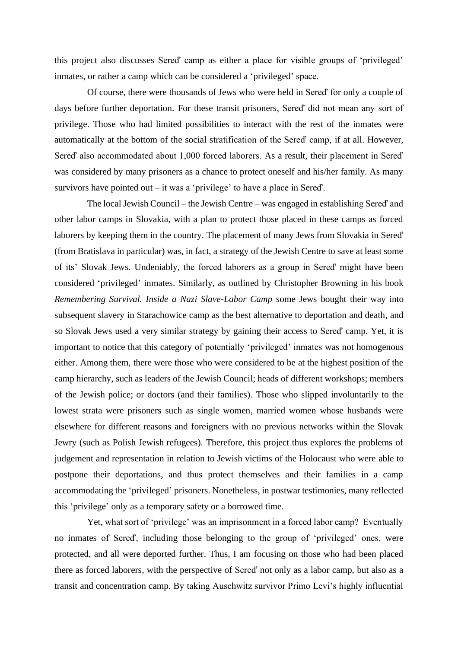this project also discusses Sereď camp as either a place for visible groups of 'privileged' inmates, or rather a camp which can be considered a 'privileged' space.

Of course, there were thousands of Jews who were held in Sereď for only a couple of days before further deportation. For these transit prisoners, Sereď did not mean any sort of privilege. Those who had limited possibilities to interact with the rest of the inmates were automatically at the bottom of the social stratification of the Sereď camp, if at all. However, Sereď also accommodated about 1,000 forced laborers. As a result, their placement in Sereď was considered by many prisoners as a chance to protect oneself and his/her family. As many survivors have pointed out – it was a 'privilege' to have a place in Sereď.

The local Jewish Council – the Jewish Centre – was engaged in establishing Sereď and other labor camps in Slovakia, with a plan to protect those placed in these camps as forced laborers by keeping them in the country. The placement of many Jews from Slovakia in Sereď (from Bratislava in particular) was, in fact, a strategy of the Jewish Centre to save at least some of its' Slovak Jews. Undeniably, the forced laborers as a group in Sereď might have been considered 'privileged' inmates. Similarly, as outlined by Christopher Browning in his book *Remembering Survival. Inside a Nazi Slave-Labor Camp* some Jews bought their way into subsequent slavery in Starachowice camp as the best alternative to deportation and death, and so Slovak Jews used a very similar strategy by gaining their access to Sereď camp. Yet, it is important to notice that this category of potentially 'privileged' inmates was not homogenous either. Among them, there were those who were considered to be at the highest position of the camp hierarchy, such as leaders of the Jewish Council; heads of different workshops; members of the Jewish police; or doctors (and their families). Those who slipped involuntarily to the lowest strata were prisoners such as single women, married women whose husbands were elsewhere for different reasons and foreigners with no previous networks within the Slovak Jewry (such as Polish Jewish refugees). Therefore, this project thus explores the problems of judgement and representation in relation to Jewish victims of the Holocaust who were able to postpone their deportations, and thus protect themselves and their families in a camp accommodating the 'privileged' prisoners. Nonetheless, in postwar testimonies, many reflected this 'privilege' only as a temporary safety or a borrowed time.

Yet, what sort of 'privilege' was an imprisonment in a forced labor camp? Eventually no inmates of Sereď, including those belonging to the group of 'privileged' ones, were protected, and all were deported further. Thus, I am focusing on those who had been placed there as forced laborers, with the perspective of Sereď not only as a labor camp, but also as a transit and concentration camp. By taking Auschwitz survivor Primo Levi's highly influential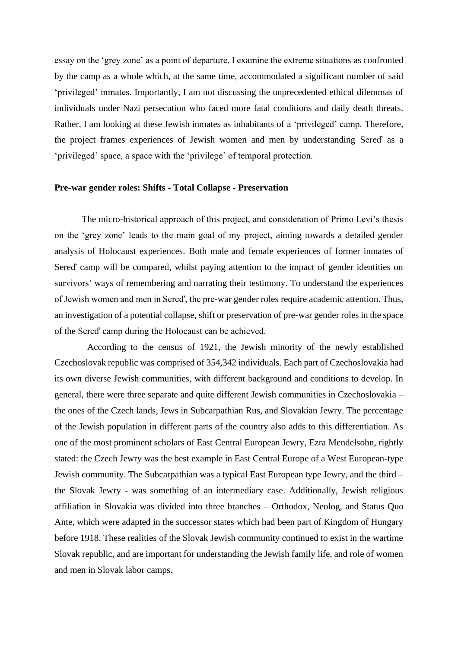essay on the 'grey zone' as a point of departure, I examine the extreme situations as confronted by the camp as a whole which, at the same time, accommodated a significant number of said 'privileged' inmates. Importantly, I am not discussing the unprecedented ethical dilemmas of individuals under Nazi persecution who faced more fatal conditions and daily death threats. Rather, I am looking at these Jewish inmates as inhabitants of a 'privileged' camp. Therefore, the project frames experiences of Jewish women and men by understanding Sereď as a 'privileged' space, a space with the 'privilege' of temporal protection.

#### **Pre-war gender roles: Shifts - Total Collapse - Preservation**

The micro-historical approach of this project, and consideration of Primo Levi's thesis on the 'grey zone' leads to the main goal of my project, aiming towards a detailed gender analysis of Holocaust experiences. Both male and female experiences of former inmates of Sereď camp will be compared, whilst paying attention to the impact of gender identities on survivors' ways of remembering and narrating their testimony. To understand the experiences of Jewish women and men in Sereď, the pre-war gender roles require academic attention. Thus, an investigation of a potential collapse, shift or preservation of pre-war gender roles in the space of the Sereď camp during the Holocaust can be achieved.

According to the census of 1921, the Jewish minority of the newly established Czechoslovak republic was comprised of 354,342 individuals. Each part of Czechoslovakia had its own diverse Jewish communities, with different background and conditions to develop. In general, there were three separate and quite different Jewish communities in Czechoslovakia – the ones of the Czech lands, Jews in Subcarpathian Rus, and Slovakian Jewry. The percentage of the Jewish population in different parts of the country also adds to this differentiation. As one of the most prominent scholars of East Central European Jewry, Ezra Mendelsohn, rightly stated: the Czech Jewry was the best example in East Central Europe of a West European-type Jewish community. The Subcarpathian was a typical East European type Jewry, and the third – the Slovak Jewry - was something of an intermediary case. Additionally, Jewish religious affiliation in Slovakia was divided into three branches – Orthodox, Neolog, and Status Quo Ante, which were adapted in the successor states which had been part of Kingdom of Hungary before 1918. These realities of the Slovak Jewish community continued to exist in the wartime Slovak republic, and are important for understanding the Jewish family life, and role of women and men in Slovak labor camps.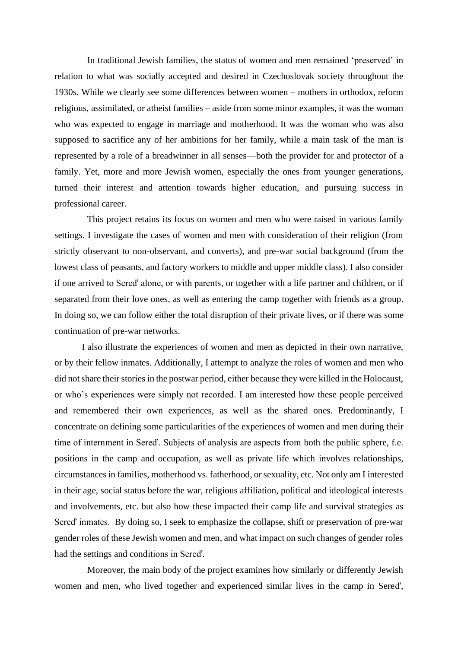In traditional Jewish families, the status of women and men remained 'preserved' in relation to what was socially accepted and desired in Czechoslovak society throughout the 1930s. While we clearly see some differences between women – mothers in orthodox, reform religious, assimilated, or atheist families – aside from some minor examples, it was the woman who was expected to engage in marriage and motherhood. It was the woman who was also supposed to sacrifice any of her ambitions for her family, while a main task of the man is represented by a role of a breadwinner in all senses—both the provider for and protector of a family. Yet, more and more Jewish women, especially the ones from younger generations, turned their interest and attention towards higher education, and pursuing success in professional career.

This project retains its focus on women and men who were raised in various family settings. I investigate the cases of women and men with consideration of their religion (from strictly observant to non-observant, and converts), and pre-war social background (from the lowest class of peasants, and factory workers to middle and upper middle class). I also consider if one arrived to Sereď alone, or with parents, or together with a life partner and children, or if separated from their love ones, as well as entering the camp together with friends as a group. In doing so, we can follow either the total disruption of their private lives, or if there was some continuation of pre-war networks.

I also illustrate the experiences of women and men as depicted in their own narrative, or by their fellow inmates. Additionally, I attempt to analyze the roles of women and men who did not share their stories in the postwar period, either because they were killed in the Holocaust, or who's experiences were simply not recorded. I am interested how these people perceived and remembered their own experiences, as well as the shared ones. Predominantly, I concentrate on defining some particularities of the experiences of women and men during their time of internment in Sereď. Subjects of analysis are aspects from both the public sphere, f.e. positions in the camp and occupation, as well as private life which involves relationships, circumstances in families, motherhood vs. fatherhood, or sexuality, etc. Not only am I interested in their age, social status before the war, religious affiliation, political and ideological interests and involvements, etc. but also how these impacted their camp life and survival strategies as Sereď inmates. By doing so, I seek to emphasize the collapse, shift or preservation of pre-war gender roles of these Jewish women and men, and what impact on such changes of gender roles had the settings and conditions in Sereď.

Moreover, the main body of the project examines how similarly or differently Jewish women and men, who lived together and experienced similar lives in the camp in Sereď,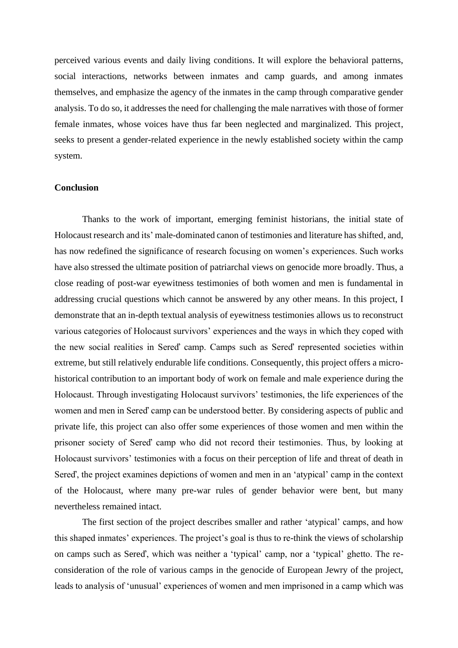perceived various events and daily living conditions. It will explore the behavioral patterns, social interactions, networks between inmates and camp guards, and among inmates themselves, and emphasize the agency of the inmates in the camp through comparative gender analysis. To do so, it addresses the need for challenging the male narratives with those of former female inmates, whose voices have thus far been neglected and marginalized. This project, seeks to present a gender-related experience in the newly established society within the camp system.

#### **Conclusion**

Thanks to the work of important, emerging feminist historians, the initial state of Holocaust research and its' male-dominated canon of testimonies and literature has shifted, and, has now redefined the significance of research focusing on women's experiences. Such works have also stressed the ultimate position of patriarchal views on genocide more broadly. Thus, a close reading of post-war eyewitness testimonies of both women and men is fundamental in addressing crucial questions which cannot be answered by any other means. In this project, I demonstrate that an in-depth textual analysis of eyewitness testimonies allows us to reconstruct various categories of Holocaust survivors' experiences and the ways in which they coped with the new social realities in Sereď camp. Camps such as Sereď represented societies within extreme, but still relatively endurable life conditions. Consequently, this project offers a microhistorical contribution to an important body of work on female and male experience during the Holocaust. Through investigating Holocaust survivors' testimonies, the life experiences of the women and men in Sereď camp can be understood better. By considering aspects of public and private life, this project can also offer some experiences of those women and men within the prisoner society of Sereď camp who did not record their testimonies. Thus, by looking at Holocaust survivors' testimonies with a focus on their perception of life and threat of death in Sereď, the project examines depictions of women and men in an 'atypical' camp in the context of the Holocaust, where many pre-war rules of gender behavior were bent, but many nevertheless remained intact.

The first section of the project describes smaller and rather 'atypical' camps, and how this shaped inmates' experiences. The project's goal is thus to re-think the views of scholarship on camps such as Sereď, which was neither a 'typical' camp, nor a 'typical' ghetto. The reconsideration of the role of various camps in the genocide of European Jewry of the project, leads to analysis of 'unusual' experiences of women and men imprisoned in a camp which was